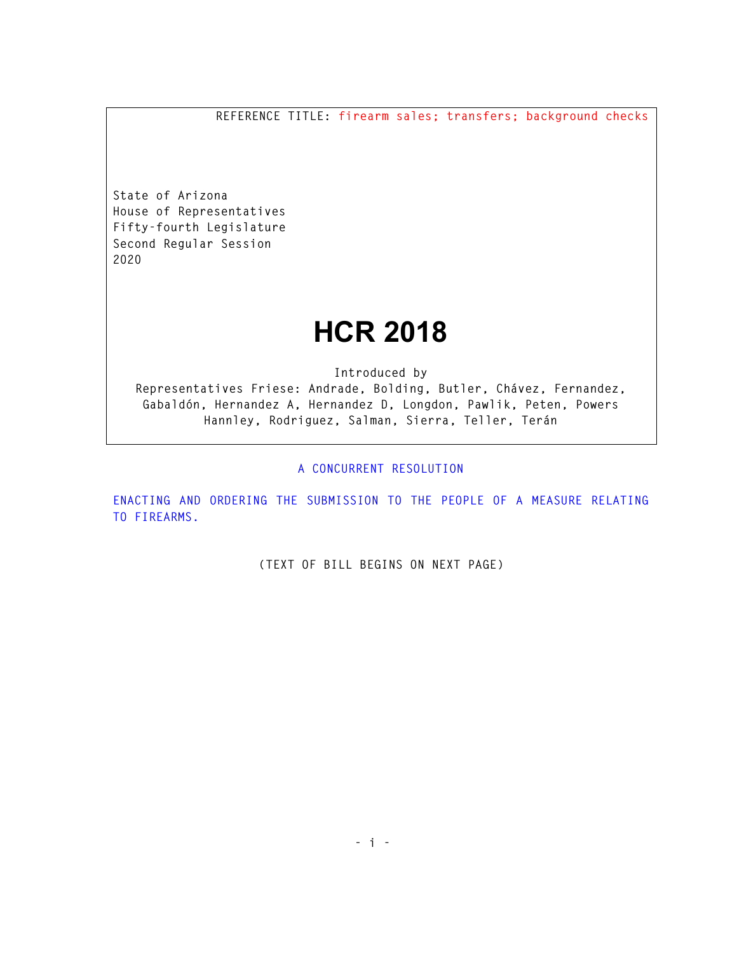**REFERENCE TITLE: firearm sales; transfers; background checks** 

**State of Arizona House of Representatives Fifty-fourth Legislature Second Regular Session 2020** 

## **HCR 2018**

**Introduced by** 

**Representatives Friese: Andrade, Bolding, Butler, Chávez, Fernandez, Gabaldón, Hernandez A, Hernandez D, Longdon, Pawlik, Peten, Powers Hannley, Rodriguez, Salman, Sierra, Teller, Terán** 

**A CONCURRENT RESOLUTION** 

**ENACTING AND ORDERING THE SUBMISSION TO THE PEOPLE OF A MEASURE RELATING TO FIREARMS.** 

**(TEXT OF BILL BEGINS ON NEXT PAGE)**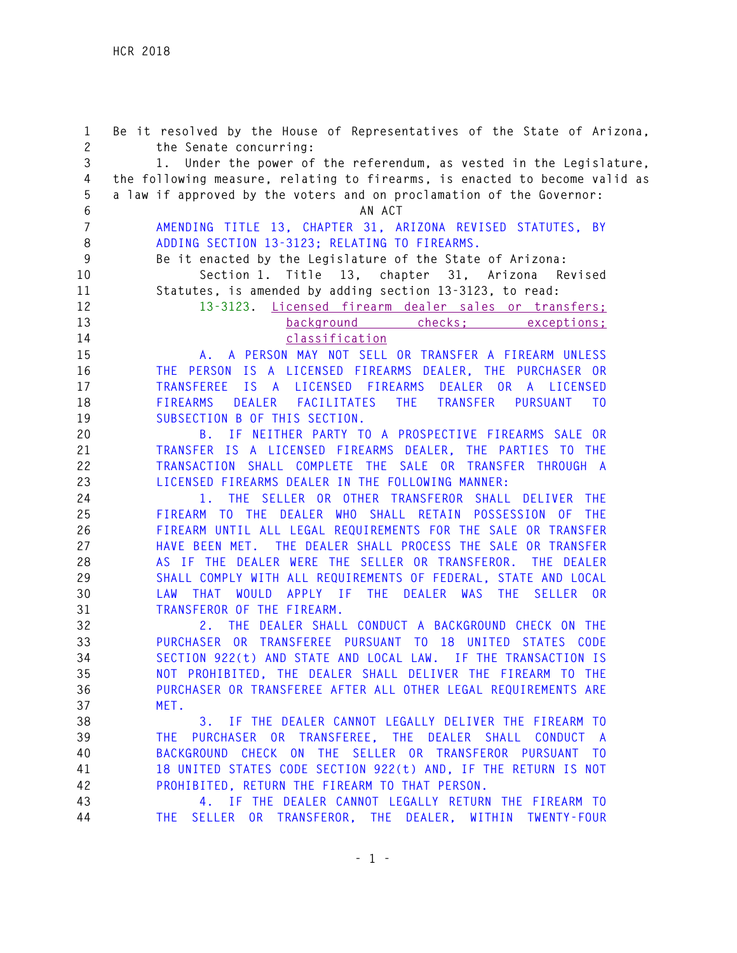**1 Be it resolved by the House of Representatives of the State of Arizona, 2 the Senate concurring: 3 1. Under the power of the referendum, as vested in the Legislature, 4 the following measure, relating to firearms, is enacted to become valid as 5 a law if approved by the voters and on proclamation of the Governor: 6 AN ACT 7 AMENDING TITLE 13, CHAPTER 31, ARIZONA REVISED STATUTES, BY 8 ADDING SECTION 13-3123; RELATING TO FIREARMS. 9 Be it enacted by the Legislature of the State of Arizona: 10 Section 1. Title 13, chapter 31, Arizona Revised 11 Statutes, is amended by adding section 13-3123, to read: 12 13-3123. Licensed firearm dealer sales or transfers; 13 background checks; exceptions; 14 classification 15 A. A PERSON MAY NOT SELL OR TRANSFER A FIREARM UNLESS 16 THE PERSON IS A LICENSED FIREARMS DEALER, THE PURCHASER OR 17 TRANSFEREE IS A LICENSED FIREARMS DEALER OR A LICENSED 18 FIREARMS DEALER FACILITATES THE TRANSFER PURSUANT TO 19 SUBSECTION B OF THIS SECTION. 20 B. IF NEITHER PARTY TO A PROSPECTIVE FIREARMS SALE OR 21 TRANSFER IS A LICENSED FIREARMS DEALER, THE PARTIES TO THE 22 TRANSACTION SHALL COMPLETE THE SALE OR TRANSFER THROUGH A 23 LICENSED FIREARMS DEALER IN THE FOLLOWING MANNER: 24 1. THE SELLER OR OTHER TRANSFEROR SHALL DELIVER THE 25 FIREARM TO THE DEALER WHO SHALL RETAIN POSSESSION OF THE 26 FIREARM UNTIL ALL LEGAL REQUIREMENTS FOR THE SALE OR TRANSFER 27 HAVE BEEN MET. THE DEALER SHALL PROCESS THE SALE OR TRANSFER 28 AS IF THE DEALER WERE THE SELLER OR TRANSFEROR. THE DEALER 29 SHALL COMPLY WITH ALL REQUIREMENTS OF FEDERAL, STATE AND LOCAL 30 LAW THAT WOULD APPLY IF THE DEALER WAS THE SELLER OR 31 TRANSFEROR OF THE FIREARM. 32 2. THE DEALER SHALL CONDUCT A BACKGROUND CHECK ON THE 33 PURCHASER OR TRANSFEREE PURSUANT TO 18 UNITED STATES CODE 34 SECTION 922(t) AND STATE AND LOCAL LAW. IF THE TRANSACTION IS 35 NOT PROHIBITED, THE DEALER SHALL DELIVER THE FIREARM TO THE 36 PURCHASER OR TRANSFEREE AFTER ALL OTHER LEGAL REQUIREMENTS ARE 37 MET. 38 3. IF THE DEALER CANNOT LEGALLY DELIVER THE FIREARM TO 39 THE PURCHASER OR TRANSFEREE, THE DEALER SHALL CONDUCT A 40 BACKGROUND CHECK ON THE SELLER OR TRANSFEROR PURSUANT TO 41 18 UNITED STATES CODE SECTION 922(t) AND, IF THE RETURN IS NOT 42 PROHIBITED, RETURN THE FIREARM TO THAT PERSON. 43 4. IF THE DEALER CANNOT LEGALLY RETURN THE FIREARM TO 44 THE SELLER OR TRANSFEROR, THE DEALER, WITHIN TWENTY-FOUR**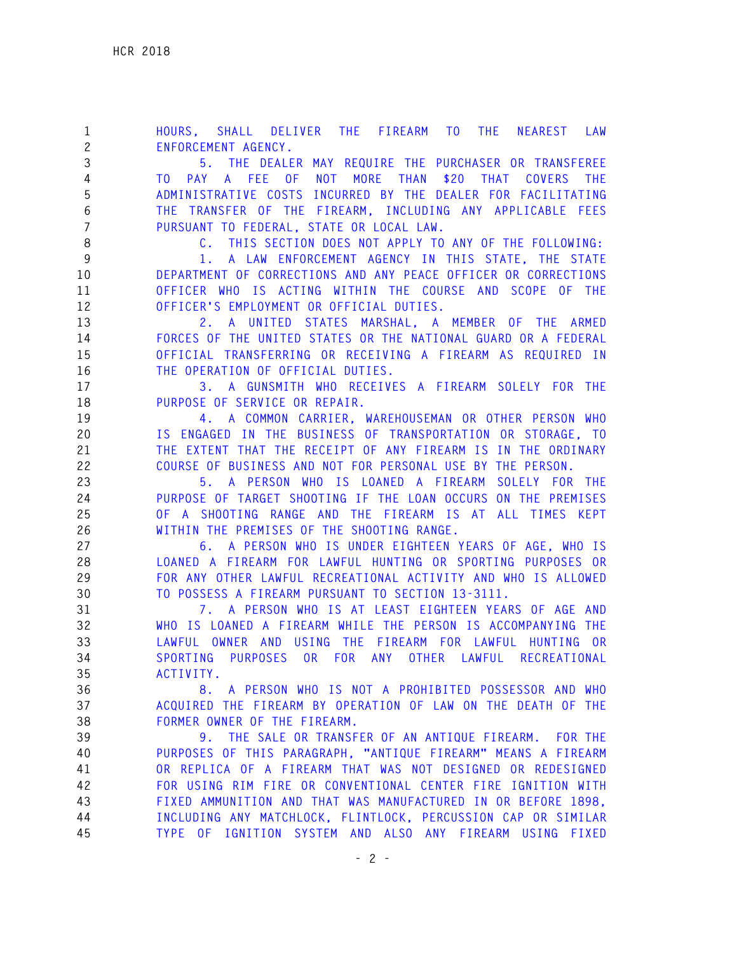**1 HOURS, SHALL DELIVER THE FIREARM TO THE NEAREST LAW 2 ENFORCEMENT AGENCY. 3 5. THE DEALER MAY REQUIRE THE PURCHASER OR TRANSFEREE 4 TO PAY A FEE OF NOT MORE THAN \$20 THAT COVERS THE 5 ADMINISTRATIVE COSTS INCURRED BY THE DEALER FOR FACILITATING 6 THE TRANSFER OF THE FIREARM, INCLUDING ANY APPLICABLE FEES 7 PURSUANT TO FEDERAL, STATE OR LOCAL LAW. 8 C. THIS SECTION DOES NOT APPLY TO ANY OF THE FOLLOWING: 9 1. A LAW ENFORCEMENT AGENCY IN THIS STATE, THE STATE 10 DEPARTMENT OF CORRECTIONS AND ANY PEACE OFFICER OR CORRECTIONS 11 OFFICER WHO IS ACTING WITHIN THE COURSE AND SCOPE OF THE 12 OFFICER'S EMPLOYMENT OR OFFICIAL DUTIES. 13 2. A UNITED STATES MARSHAL, A MEMBER OF THE ARMED 14 FORCES OF THE UNITED STATES OR THE NATIONAL GUARD OR A FEDERAL 15 OFFICIAL TRANSFERRING OR RECEIVING A FIREARM AS REQUIRED IN 16 THE OPERATION OF OFFICIAL DUTIES. 17 3. A GUNSMITH WHO RECEIVES A FIREARM SOLELY FOR THE 18 PURPOSE OF SERVICE OR REPAIR. 19 4. A COMMON CARRIER, WAREHOUSEMAN OR OTHER PERSON WHO 20 IS ENGAGED IN THE BUSINESS OF TRANSPORTATION OR STORAGE, TO 21 THE EXTENT THAT THE RECEIPT OF ANY FIREARM IS IN THE ORDINARY 22 COURSE OF BUSINESS AND NOT FOR PERSONAL USE BY THE PERSON. 23 5. A PERSON WHO IS LOANED A FIREARM SOLELY FOR THE 24 PURPOSE OF TARGET SHOOTING IF THE LOAN OCCURS ON THE PREMISES 25 OF A SHOOTING RANGE AND THE FIREARM IS AT ALL TIMES KEPT 26 WITHIN THE PREMISES OF THE SHOOTING RANGE. 27 6. A PERSON WHO IS UNDER EIGHTEEN YEARS OF AGE, WHO IS 28 LOANED A FIREARM FOR LAWFUL HUNTING OR SPORTING PURPOSES OR 29 FOR ANY OTHER LAWFUL RECREATIONAL ACTIVITY AND WHO IS ALLOWED 30 TO POSSESS A FIREARM PURSUANT TO SECTION 13-3111. 31 7. A PERSON WHO IS AT LEAST EIGHTEEN YEARS OF AGE AND 32 WHO IS LOANED A FIREARM WHILE THE PERSON IS ACCOMPANYING THE 33 LAWFUL OWNER AND USING THE FIREARM FOR LAWFUL HUNTING OR 34 SPORTING PURPOSES OR FOR ANY OTHER LAWFUL RECREATIONAL 35 ACTIVITY. 36 8. A PERSON WHO IS NOT A PROHIBITED POSSESSOR AND WHO 37 ACQUIRED THE FIREARM BY OPERATION OF LAW ON THE DEATH OF THE 38 FORMER OWNER OF THE FIREARM. 39 9. THE SALE OR TRANSFER OF AN ANTIQUE FIREARM. FOR THE 40 PURPOSES OF THIS PARAGRAPH, "ANTIQUE FIREARM" MEANS A FIREARM 41 OR REPLICA OF A FIREARM THAT WAS NOT DESIGNED OR REDESIGNED 42 FOR USING RIM FIRE OR CONVENTIONAL CENTER FIRE IGNITION WITH 43 FIXED AMMUNITION AND THAT WAS MANUFACTURED IN OR BEFORE 1898, 44 INCLUDING ANY MATCHLOCK, FLINTLOCK, PERCUSSION CAP OR SIMILAR 45 TYPE OF IGNITION SYSTEM AND ALSO ANY FIREARM USING FIXED**